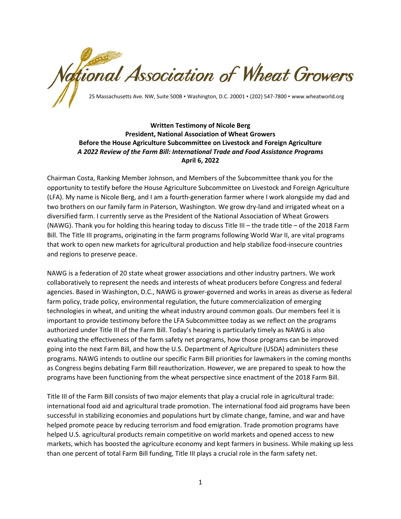ational Association of Wheat Growers 25 Massachusetts Ave. NW, Suite 500B • Washington, D.C. 20001 • (202) 547-7800 • www.wheatworld.org

## **Written Testimony of Nicole Berg President, National Association of Wheat Growers Before the House Agriculture Subcommittee on Livestock and Foreign Agriculture** *A 2022 Review of the Farm Bill: International Trade and Food Assistance Programs* **April 6, 2022**

Chairman Costa, Ranking Member Johnson, and Members of the Subcommittee thank you for the opportunity to testify before the House Agriculture Subcommittee on Livestock and Foreign Agriculture (LFA). My name is Nicole Berg, and I am a fourth-generation farmer where I work alongside my dad and two brothers on our family farm in Paterson, Washington. We grow dry-land and irrigated wheat on a diversified farm. I currently serve as the President of the National Association of Wheat Growers (NAWG). Thank you for holding this hearing today to discuss Title III – the trade title – of the 2018 Farm Bill. The Title III programs, originating in the farm programs following World War II, are vital programs that work to open new markets for agricultural production and help stabilize food-insecure countries and regions to preserve peace.

NAWG is a federation of 20 state wheat grower associations and other industry partners. We work collaboratively to represent the needs and interests of wheat producers before Congress and federal agencies. Based in Washington, D.C., NAWG is grower-governed and works in areas as diverse as federal farm policy, trade policy, environmental regulation, the future commercialization of emerging technologies in wheat, and uniting the wheat industry around common goals. Our members feel it is important to provide testimony before the LFA Subcommittee today as we reflect on the programs authorized under Title III of the Farm Bill. Today's hearing is particularly timely as NAWG is also evaluating the effectiveness of the farm safety net programs, how those programs can be improved going into the next Farm Bill, and how the U.S. Department of Agriculture (USDA) administers these programs. NAWG intends to outline our specific Farm Bill priorities for lawmakers in the coming months as Congress begins debating Farm Bill reauthorization. However, we are prepared to speak to how the programs have been functioning from the wheat perspective since enactment of the 2018 Farm Bill.

Title III of the Farm Bill consists of two major elements that play a crucial role in agricultural trade: international food aid and agricultural trade promotion. The international food aid programs have been successful in stabilizing economies and populations hurt by climate change, famine, and war and have helped promote peace by reducing terrorism and food emigration. Trade promotion programs have helped U.S. agricultural products remain competitive on world markets and opened access to new markets, which has boosted the agriculture economy and kept farmers in business. While making up less than one percent of total Farm Bill funding, Title III plays a crucial role in the farm safety net.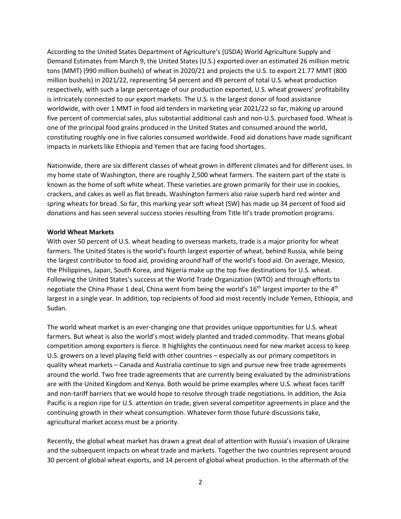According to the United States Department of Agriculture's (USDA) World Agriculture Supply and Demand Estimates from March 9, the United States (U.S.) exported over an estimated 26 million metric tons (MMT) (990 million bushels) of wheat in 2020/21 and projects the U.S. to export 21.77 MMT (800 million bushels) in 2021/22, representing 54 percent and 49 percent of total U.S. wheat production respectively, with such a large percentage of our production exported, U.S. wheat growers' profitability is intricately connected to our export markets. The U.S. is the largest donor of food assistance worldwide, with over 1 MMT in food aid tenders in marketing year 2021/22 so far, making up around five percent of commercial sales, plus substantial additional cash and non-U.S. purchased food. Wheat is one of the principal food grains produced in the United States and consumed around the world, constituting roughly one in five calories consumed worldwide. Food aid donations have made significant impacts in markets like Ethiopia and Yemen that are facing food shortages.

Nationwide, there are six different classes of wheat grown in different climates and for different uses. In my home state of Washington, there are roughly 2,500 wheat farmers. The eastern part of the state is known as the home of soft white wheat. These varieties are grown primarily for their use in cookies, crackers, and cakes as well as flat breads. Washington farmers also raise superb hard red winter and spring wheats for bread. So far, this marking year soft wheat (SW) has made up 34 percent of food aid donations and has seen several success stories resulting from Title III's trade promotion programs.

#### **World Wheat Markets**

With over 50 percent of U.S. wheat heading to overseas markets, trade is a major priority for wheat farmers. The United States is the world's fourth largest exporter of wheat, behind Russia, while being the largest contributor to food aid, providing around half of the world's food aid. On average, Mexico, the Philippines, Japan, South Korea, and Nigeria make up the top five destinations for U.S. wheat. Following the United States's success at the World Trade Organization (WTO) and through efforts to negotiate the China Phase 1 deal, China went from being the world's  $16<sup>th</sup>$  largest importer to the 4<sup>th</sup> largest in a single year. In addition, top recipients of food aid most recently include Yemen, Ethiopia, and Sudan.

The world wheat market is an ever-changing one that provides unique opportunities for U.S. wheat farmers. But wheat is also the world's most widely planted and traded commodity. That means global competition among exporters is fierce. It highlights the continuous need for new market access to keep U.S. growers on a level playing field with other countries – especially as our primary competitors in quality wheat markets – Canada and Australia continue to sign and pursue new free trade agreements around the world. Two free trade agreements that are currently being evaluated by the administrations are with the United Kingdom and Kenya. Both would be prime examples where U.S. wheat faces tariff and non-tariff barriers that we would hope to resolve through trade negotiations. In addition, the Asia Pacific is a region ripe for U.S. attention on trade, given several competitor agreements in place and the continuing growth in their wheat consumption. Whatever form those future discussions take, agricultural market access must be a priority.

Recently, the global wheat market has drawn a great deal of attention with Russia's invasion of Ukraine and the subsequent impacts on wheat trade and markets. Together the two countries represent around 30 percent of global wheat exports, and 14 percent of global wheat production. In the aftermath of the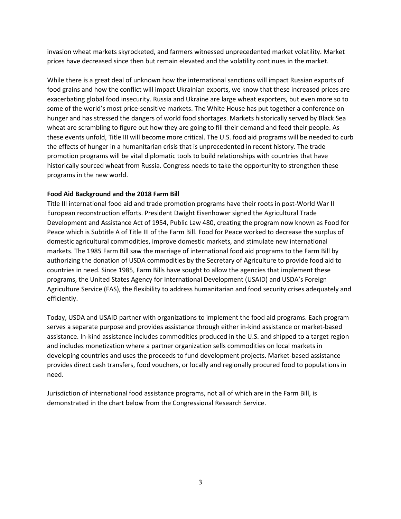invasion wheat markets skyrocketed, and farmers witnessed unprecedented market volatility. Market prices have decreased since then but remain elevated and the volatility continues in the market.

While there is a great deal of unknown how the international sanctions will impact Russian exports of food grains and how the conflict will impact Ukrainian exports, we know that these increased prices are exacerbating global food insecurity. Russia and Ukraine are large wheat exporters, but even more so to some of the world's most price-sensitive markets. The White House has put together a conference on hunger and has stressed the dangers of world food shortages. Markets historically served by Black Sea wheat are scrambling to figure out how they are going to fill their demand and feed their people. As these events unfold, Title III will become more critical. The U.S. food aid programs will be needed to curb the effects of hunger in a humanitarian crisis that is unprecedented in recent history. The trade promotion programs will be vital diplomatic tools to build relationships with countries that have historically sourced wheat from Russia. Congress needs to take the opportunity to strengthen these programs in the new world.

## **Food Aid Background and the 2018 Farm Bill**

Title III international food aid and trade promotion programs have their roots in post-World War II European reconstruction efforts. President Dwight Eisenhower signed the Agricultural Trade Development and Assistance Act of 1954, Public Law 480, creating the program now known as Food for Peace which is Subtitle A of Title III of the Farm Bill. Food for Peace worked to decrease the surplus of domestic agricultural commodities, improve domestic markets, and stimulate new international markets. The 1985 Farm Bill saw the marriage of international food aid programs to the Farm Bill by authorizing the donation of USDA commodities by the Secretary of Agriculture to provide food aid to countries in need. Since 1985, Farm Bills have sought to allow the agencies that implement these programs, the United States Agency for International Development (USAID) and USDA's Foreign Agriculture Service (FAS), the flexibility to address humanitarian and food security crises adequately and efficiently.

Today, USDA and USAID partner with organizations to implement the food aid programs. Each program serves a separate purpose and provides assistance through either in-kind assistance or market-based assistance. In-kind assistance includes commodities produced in the U.S. and shipped to a target region and includes monetization where a partner organization sells commodities on local markets in developing countries and uses the proceeds to fund development projects. Market-based assistance provides direct cash transfers, food vouchers, or locally and regionally procured food to populations in need.

Jurisdiction of international food assistance programs, not all of which are in the Farm Bill, is demonstrated in the chart below from the Congressional Research Service.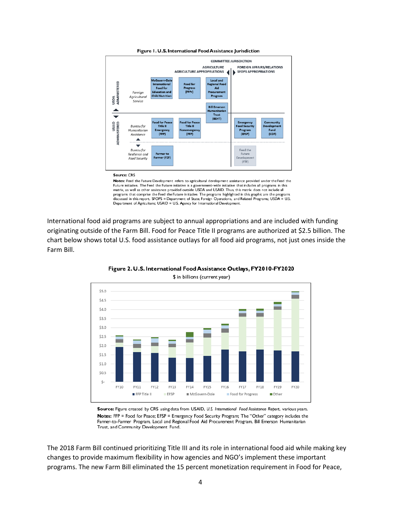

#### Figure 1. U.S. International Food Assistance Jurisdiction

#### Source: CRS

Notes: Feed the Future Development refers to agricultural development assistance provided under the Feed the **Notes:** reed the Future Development refers to agricultural development assistance provided in the Feed the Future initiative is a government-wide initiative that includes all programs in this matrix, as well as other assi programs that comprise the Feed the Future initiative. The programs highlighted in this graphic are the programs discussed in this report. SFOPS = Department of State, Foreign Operations, and Related Programs; USDA = U.S.<br>Department of Agriculture; USAID = U.S. Agency for International Development.

International food aid programs are subject to annual appropriations and are included with funding originating outside of the Farm Bill. Food for Peace Title II programs are authorized at \$2.5 billion. The chart below shows total U.S. food assistance outlays for all food aid programs, not just ones inside the Farm Bill.



Figure 2. U.S. International Food Assistance Outlays, FY2010-FY2020

Source: Figure created by CRS using data from USAID, U.S. International Food Assistance Report, various years. Notes: FFP = Food for Peace; EFSP = Emergency Food Security Program; The "Other" category includes the Farmer-to-Farmer Program, Local and Regional Food Aid Procurement Program, Bill Emerson Humanitarian Trust, and Community Development Fund.

The 2018 Farm Bill continued prioritizing Title III and its role in international food aid while making key changes to provide maximum flexibility in how agencies and NGO's implement these important programs. The new Farm Bill eliminated the 15 percent monetization requirement in Food for Peace,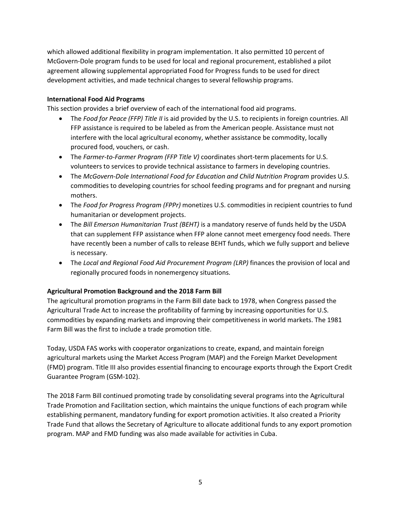which allowed additional flexibility in program implementation. It also permitted 10 percent of McGovern-Dole program funds to be used for local and regional procurement, established a pilot agreement allowing supplemental appropriated Food for Progress funds to be used for direct development activities, and made technical changes to several fellowship programs.

## **International Food Aid Programs**

This section provides a brief overview of each of the international food aid programs.

- The *Food for Peace (FFP) Title II* is aid provided by the U.S. to recipients in foreign countries. All FFP assistance is required to be labeled as from the American people. Assistance must not interfere with the local agricultural economy, whether assistance be commodity, locally procured food, vouchers, or cash.
- The *Farmer-to-Farmer Program (FFP Title V)* coordinates short-term placements for U.S. volunteers to services to provide technical assistance to farmers in developing countries.
- The *McGovern-Dole International Food for Education and Child Nutrition Program provides U.S.* commodities to developing countries for school feeding programs and for pregnant and nursing mothers.
- The *Food for Progress Program (FPPr)* monetizes U.S. commodities in recipient countries to fund humanitarian or development projects.
- The *Bill Emerson Humanitarian Trust (BEHT)* is a mandatory reserve of funds held by the USDA that can supplement FFP assistance when FFP alone cannot meet emergency food needs. There have recently been a number of calls to release BEHT funds, which we fully support and believe is necessary.
- The *Local and Regional Food Aid Procurement Program (LRP)* finances the provision of local and regionally procured foods in nonemergency situations.

# **Agricultural Promotion Background and the 2018 Farm Bill**

The agricultural promotion programs in the Farm Bill date back to 1978, when Congress passed the Agricultural Trade Act to increase the profitability of farming by increasing opportunities for U.S. commodities by expanding markets and improving their competitiveness in world markets. The 1981 Farm Bill was the first to include a trade promotion title.

Today, USDA FAS works with cooperator organizations to create, expand, and maintain foreign agricultural markets using the Market Access Program (MAP) and the Foreign Market Development (FMD) program. Title III also provides essential financing to encourage exports through the Export Credit Guarantee Program (GSM-102).

The 2018 Farm Bill continued promoting trade by consolidating several programs into the Agricultural Trade Promotion and Facilitation section, which maintains the unique functions of each program while establishing permanent, mandatory funding for export promotion activities. It also created a Priority Trade Fund that allows the Secretary of Agriculture to allocate additional funds to any export promotion program. MAP and FMD funding was also made available for activities in Cuba.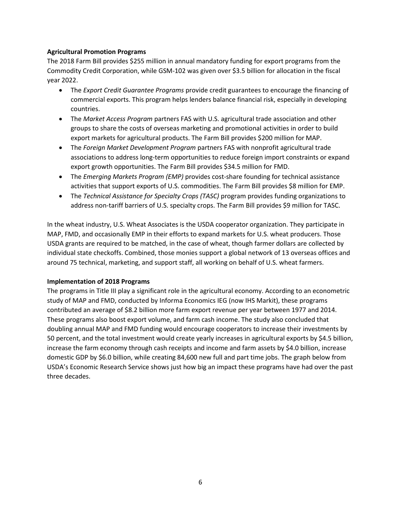## **Agricultural Promotion Programs**

The 2018 Farm Bill provides \$255 million in annual mandatory funding for export programs from the Commodity Credit Corporation, while GSM-102 was given over \$3.5 billion for allocation in the fiscal year 2022.

- The *Export Credit Guarantee Programs* provide credit guarantees to encourage the financing of commercial exports. This program helps lenders balance financial risk, especially in developing countries.
- The *Market Access Program* partners FAS with U.S. agricultural trade association and other groups to share the costs of overseas marketing and promotional activities in order to build export markets for agricultural products. The Farm Bill provides \$200 million for MAP.
- The *Foreign Market Development Program* partners FAS with nonprofit agricultural trade associations to address long-term opportunities to reduce foreign import constraints or expand export growth opportunities. The Farm Bill provides \$34.5 million for FMD.
- The *Emerging Markets Program (EMP)* provides cost-share founding for technical assistance activities that support exports of U.S. commodities. The Farm Bill provides \$8 million for EMP.
- The *Technical Assistance for Specialty Crops (TASC)* program provides funding organizations to address non-tariff barriers of U.S. specialty crops. The Farm Bill provides \$9 million for TASC.

In the wheat industry, U.S. Wheat Associates is the USDA cooperator organization. They participate in MAP, FMD, and occasionally EMP in their efforts to expand markets for U.S. wheat producers. Those USDA grants are required to be matched, in the case of wheat, though farmer dollars are collected by individual state checkoffs. Combined, those monies support a global network of 13 overseas offices and around 75 technical, marketing, and support staff, all working on behalf of U.S. wheat farmers.

### **Implementation of 2018 Programs**

The programs in Title III play a significant role in the agricultural economy. According to an econometric study of MAP and FMD, conducted by Informa Economics IEG (now IHS Markit), these programs contributed an average of \$8.2 billion more farm export revenue per year between 1977 and 2014. These programs also boost export volume, and farm cash income. The study also concluded that doubling annual MAP and FMD funding would encourage cooperators to increase their investments by 50 percent, and the total investment would create yearly increases in agricultural exports by \$4.5 billion, increase the farm economy through cash receipts and income and farm assets by \$4.0 billion, increase domestic GDP by \$6.0 billion, while creating 84,600 new full and part time jobs. The graph below from USDA's Economic Research Service shows just how big an impact these programs have had over the past three decades.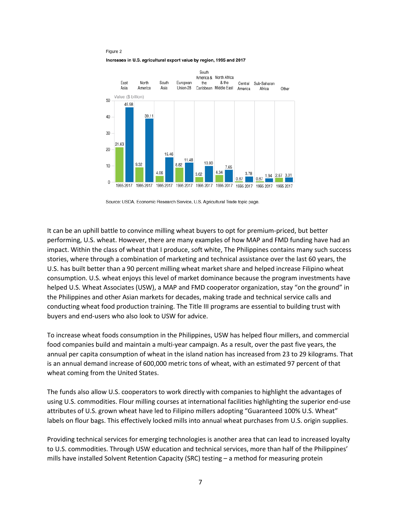Figure 2

Increases in U.S. agricultural export value by region, 1995 and 2017



Source: USDA, Economic Research Service, U.S. Agricultural Trade topic page.

It can be an uphill battle to convince milling wheat buyers to opt for premium-priced, but better performing, U.S. wheat. However, there are many examples of how MAP and FMD funding have had an impact. Within the class of wheat that I produce, soft white, The Philippines contains many such success stories, where through a combination of marketing and technical assistance over the last 60 years, the U.S. has built better than a 90 percent milling wheat market share and helped increase Filipino wheat consumption. U.S. wheat enjoys this level of market dominance because the program investments have helped U.S. Wheat Associates (USW), a MAP and FMD cooperator organization, stay "on the ground" in the Philippines and other Asian markets for decades, making trade and technical service calls and conducting wheat food production training. The Title III programs are essential to building trust with buyers and end-users who also look to USW for advice.

To increase wheat foods consumption in the Philippines, USW has helped flour millers, and commercial food companies build and maintain a multi-year campaign. As a result, over the past five years, the annual per capita consumption of wheat in the island nation has increased from 23 to 29 kilograms. That is an annual demand increase of 600,000 metric tons of wheat, with an estimated 97 percent of that wheat coming from the United States.

The funds also allow U.S. cooperators to work directly with companies to highlight the advantages of using U.S. commodities. Flour milling courses at international facilities highlighting the superior end-use attributes of U.S. grown wheat have led to Filipino millers adopting "Guaranteed 100% U.S. Wheat" labels on flour bags. This effectively locked mills into annual wheat purchases from U.S. origin supplies.

Providing technical services for emerging technologies is another area that can lead to increased loyalty to U.S. commodities. Through USW education and technical services, more than half of the Philippines' mills have installed Solvent Retention Capacity (SRC) testing – a method for measuring protein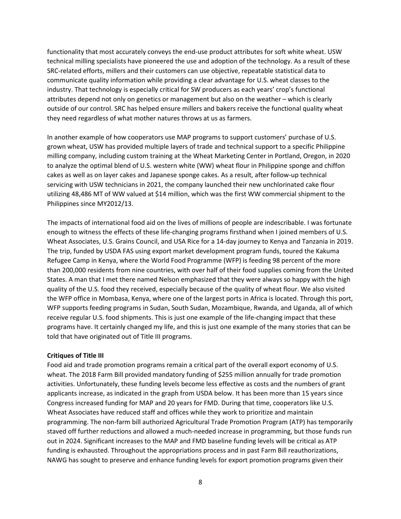functionality that most accurately conveys the end-use product attributes for soft white wheat. USW technical milling specialists have pioneered the use and adoption of the technology. As a result of these SRC-related efforts, millers and their customers can use objective, repeatable statistical data to communicate quality information while providing a clear advantage for U.S. wheat classes to the industry. That technology is especially critical for SW producers as each years' crop's functional attributes depend not only on genetics or management but also on the weather – which is clearly outside of our control. SRC has helped ensure millers and bakers receive the functional quality wheat they need regardless of what mother natures throws at us as farmers.

In another example of how cooperators use MAP programs to support customers' purchase of U.S. grown wheat, USW has provided multiple layers of trade and technical support to a specific Philippine milling company, including custom training at the Wheat Marketing Center in Portland, Oregon, in 2020 to analyze the optimal blend of U.S. western white (WW) wheat flour in Philippine sponge and chiffon cakes as well as on layer cakes and Japanese sponge cakes. As a result, after follow-up technical servicing with USW technicians in 2021, the company launched their new unchlorinated cake flour utilizing 48,486 MT of WW valued at \$14 million, which was the first WW commercial shipment to the Philippines since MY2012/13.

The impacts of international food aid on the lives of millions of people are indescribable. I was fortunate enough to witness the effects of these life-changing programs firsthand when I joined members of U.S. Wheat Associates, U.S. Grains Council, and USA Rice for a 14-day journey to Kenya and Tanzania in 2019. The trip, funded by USDA FAS using export market development program funds, toured the Kakuma Refugee Camp in Kenya, where the World Food Programme (WFP) is feeding 98 percent of the more than 200,000 residents from nine countries, with over half of their food supplies coming from the United States. A man that I met there named Nelson emphasized that they were always so happy with the high quality of the U.S. food they received, especially because of the quality of wheat flour. We also visited the WFP office in Mombasa, Kenya, where one of the largest ports in Africa is located. Through this port, WFP supports feeding programs in Sudan, South Sudan, Mozambique, Rwanda, and Uganda, all of which receive regular U.S. food shipments. This is just one example of the life-changing impact that these programs have. It certainly changed my life, and this is just one example of the many stories that can be told that have originated out of Title III programs.

#### **Critiques of Title III**

Food aid and trade promotion programs remain a critical part of the overall export economy of U.S. wheat. The 2018 Farm Bill provided mandatory funding of \$255 million annually for trade promotion activities. Unfortunately, these funding levels become less effective as costs and the numbers of grant applicants increase, as indicated in the graph from USDA below. It has been more than 15 years since Congress increased funding for MAP and 20 years for FMD. During that time, cooperators like U.S. Wheat Associates have reduced staff and offices while they work to prioritize and maintain programming. The non-farm bill authorized Agricultural Trade Promotion Program (ATP) has temporarily staved off further reductions and allowed a much-needed increase in programming, but those funds run out in 2024. Significant increases to the MAP and FMD baseline funding levels will be critical as ATP funding is exhausted. Throughout the appropriations process and in past Farm Bill reauthorizations, NAWG has sought to preserve and enhance funding levels for export promotion programs given their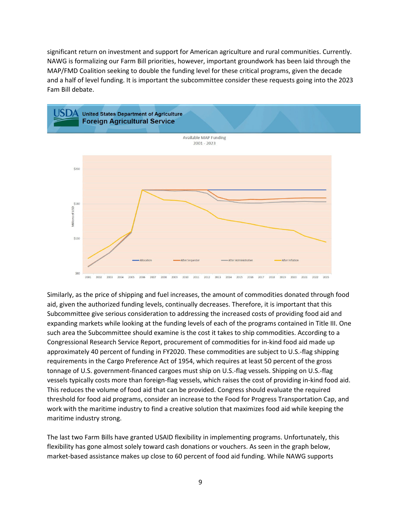significant return on investment and support for American agriculture and rural communities. Currently. NAWG is formalizing our Farm Bill priorities, however, important groundwork has been laid through the MAP/FMD Coalition seeking to double the funding level for these critical programs, given the decade and a half of level funding. It is important the subcommittee consider these requests going into the 2023 Fam Bill debate.



Similarly, as the price of shipping and fuel increases, the amount of commodities donated through food aid, given the authorized funding levels, continually decreases. Therefore, it is important that this Subcommittee give serious consideration to addressing the increased costs of providing food aid and expanding markets while looking at the funding levels of each of the programs contained in Title III. One such area the Subcommittee should examine is the cost it takes to ship commodities. According to a Congressional Research Service Report, procurement of commodities for in-kind food aid made up approximately 40 percent of funding in FY2020. These commodities are subject to U.S.-flag shipping requirements in the Cargo Preference Act of 1954, which requires at least 50 percent of the gross tonnage of U.S. government-financed cargoes must ship on U.S.-flag vessels. Shipping on U.S.-flag vessels typically costs more than foreign-flag vessels, which raises the cost of providing in-kind food aid. This reduces the volume of food aid that can be provided. Congress should evaluate the required threshold for food aid programs, consider an increase to the Food for Progress Transportation Cap, and work with the maritime industry to find a creative solution that maximizes food aid while keeping the maritime industry strong.

The last two Farm Bills have granted USAID flexibility in implementing programs. Unfortunately, this flexibility has gone almost solely toward cash donations or vouchers. As seen in the graph below, market-based assistance makes up close to 60 percent of food aid funding. While NAWG supports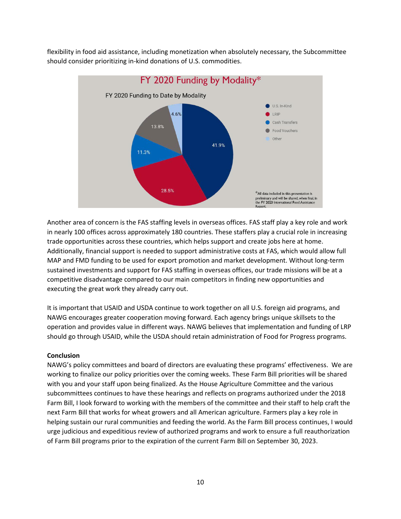flexibility in food aid assistance, including monetization when absolutely necessary, the Subcommittee should consider prioritizing in-kind donations of U.S. commodities.



Another area of concern is the FAS staffing levels in overseas offices. FAS staff play a key role and work in nearly 100 offices across approximately 180 countries. These staffers play a crucial role in increasing trade opportunities across these countries, which helps support and create jobs here at home. Additionally, financial support is needed to support administrative costs at FAS, which would allow full MAP and FMD funding to be used for export promotion and market development. Without long-term sustained investments and support for FAS staffing in overseas offices, our trade missions will be at a competitive disadvantage compared to our main competitors in finding new opportunities and executing the great work they already carry out.

It is important that USAID and USDA continue to work together on all U.S. foreign aid programs, and NAWG encourages greater cooperation moving forward. Each agency brings unique skillsets to the operation and provides value in different ways. NAWG believes that implementation and funding of LRP should go through USAID, while the USDA should retain administration of Food for Progress programs.

### **Conclusion**

NAWG's policy committees and board of directors are evaluating these programs' effectiveness. We are working to finalize our policy priorities over the coming weeks. These Farm Bill priorities will be shared with you and your staff upon being finalized. As the House Agriculture Committee and the various subcommittees continues to have these hearings and reflects on programs authorized under the 2018 Farm Bill, I look forward to working with the members of the committee and their staff to help craft the next Farm Bill that works for wheat growers and all American agriculture. Farmers play a key role in helping sustain our rural communities and feeding the world. As the Farm Bill process continues, I would urge judicious and expeditious review of authorized programs and work to ensure a full reauthorization of Farm Bill programs prior to the expiration of the current Farm Bill on September 30, 2023.